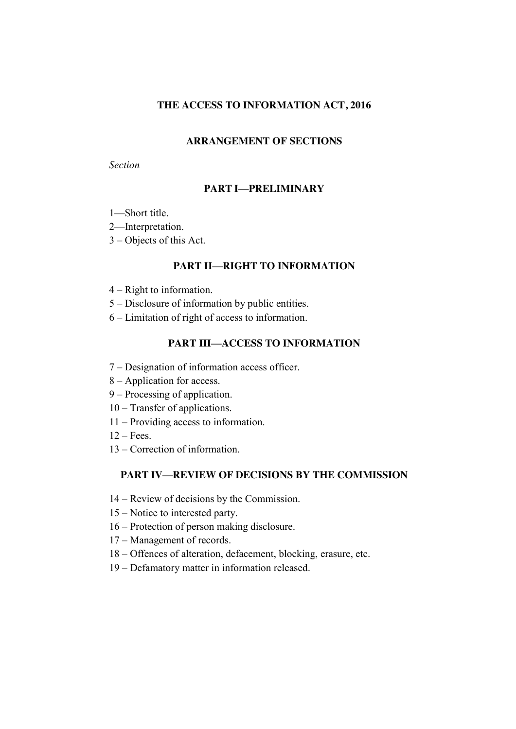## **THE ACCESS TO INFORMATION ACT, 2016**

## **ARRANGEMENT OF SECTIONS**

### *Section*

# **PART I—PRELIMINARY**

- —Short title.
- —Interpretation.
- Objects of this Act.

# **PART II—RIGHT TO INFORMATION**

- Right to information.
- Disclosure of information by public entities.
- Limitation of right of access to information.

# **PART III—ACCESS TO INFORMATION**

- Designation of information access officer.
- Application for access.
- Processing of application.
- Transfer of applications.
- Providing access to information.
- $12 \text{Fees}$
- Correction of information.

# **PART IV—REVIEW OF DECISIONS BY THE COMMISSION**

- Review of decisions by the Commission.
- Notice to interested party.
- Protection of person making disclosure.
- Management of records.
- Offences of alteration, defacement, blocking, erasure, etc.
- Defamatory matter in information released.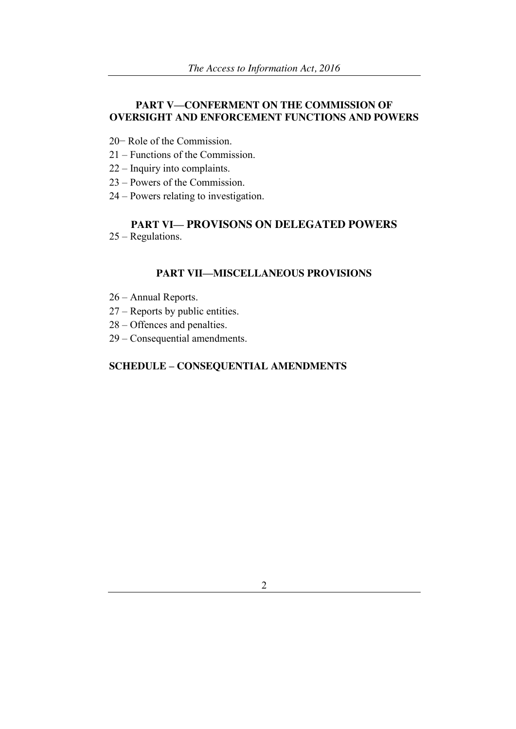# **PART V—CONFERMENT ON THE COMMISSION OF OVERSIGHT AND ENFORCEMENT FUNCTIONS AND POWERS**

- 20− Role of the Commission.
- 21 Functions of the Commission.
- 22 Inquiry into complaints.
- 23 Powers of the Commission.
- 24 Powers relating to investigation.

# **PART VI— PROVISONS ON DELEGATED POWERS**

25 – Regulations.

### **PART VII—MISCELLANEOUS PROVISIONS**

- 26 Annual Reports.
- 27 Reports by public entities.
- 28 Offences and penalties.
- 29 Consequential amendments.

# **SCHEDULE – CONSEQUENTIAL AMENDMENTS**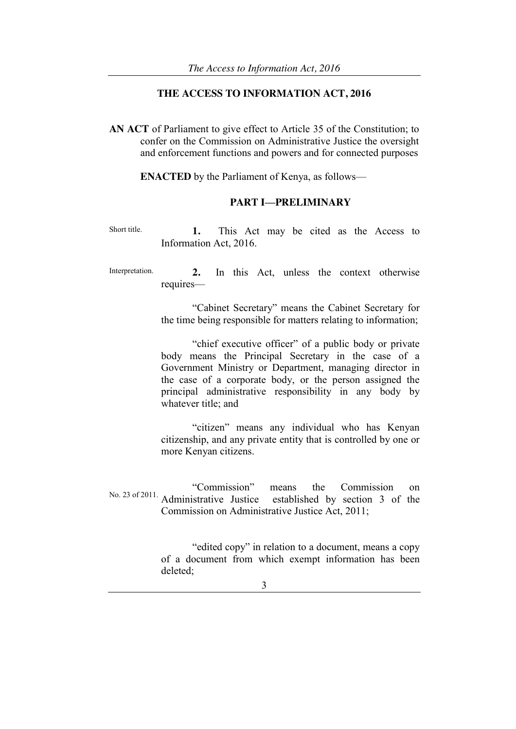### **THE ACCESS TO INFORMATION ACT, 2016**

**AN ACT** of Parliament to give effect to Article 35 of the Constitution; to confer on the Commission on Administrative Justice the oversight and enforcement functions and powers and for connected purposes

**ENACTED** by the Parliament of Kenya, as follows—

### **PART I—PRELIMINARY**

Short title. **1.** This Act may be cited as the Access to Information Act, 2016.

Interpretation. **2.** In this Act, unless the context otherwise requires—

> ―Cabinet Secretary‖ means the Cabinet Secretary for the time being responsible for matters relating to information;

> "chief executive officer" of a public body or private body means the Principal Secretary in the case of a Government Ministry or Department, managing director in the case of a corporate body, or the person assigned the principal administrative responsibility in any body by whatever title; and

> "citizen" means any individual who has Kenyan citizenship, and any private entity that is controlled by one or more Kenyan citizens.

No. 23 of 2011. A dministrative Justice established by section 2 of the Administrative Justice established by section 3 of the Commission on Administrative Justice Act, 2011;

> "edited copy" in relation to a document, means a copy of a document from which exempt information has been deleted;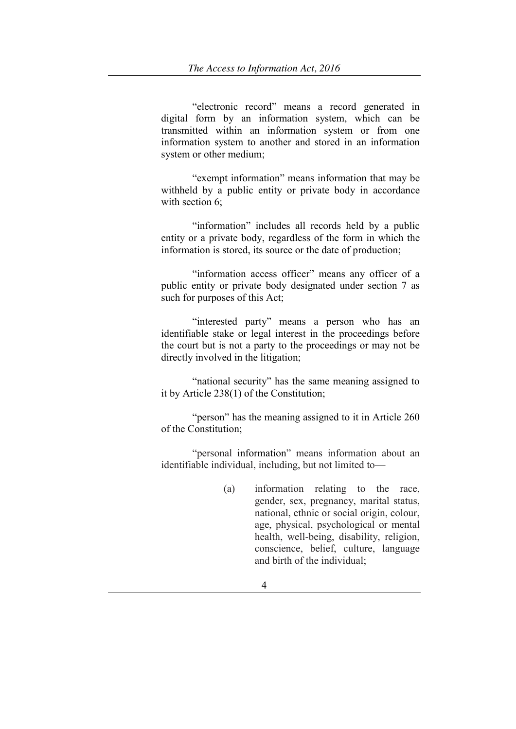"electronic record" means a record generated in digital form by an information system, which can be transmitted within an information system or from one information system to another and stored in an information system or other medium;

"exempt information" means information that may be withheld by a public entity or private body in accordance with section 6;

"information" includes all records held by a public entity or a private body, regardless of the form in which the information is stored, its source or the date of production;

"information access officer" means any officer of a public entity or private body designated under section 7 as such for purposes of this Act;

"interested party" means a person who has an identifiable stake or legal interest in the proceedings before the court but is not a party to the proceedings or may not be directly involved in the litigation:

"national security" has the same meaning assigned to it by Article 238(1) of the Constitution;

"person" has the meaning assigned to it in Article 260 of the Constitution;

"personal information" means information about an identifiable individual, including, but not limited to—

> (a) information relating to the race, gender, sex, pregnancy, marital status, national, ethnic or social origin, colour, age, physical, psychological or mental health, well-being, disability, religion, conscience, belief, culture, language and birth of the individual;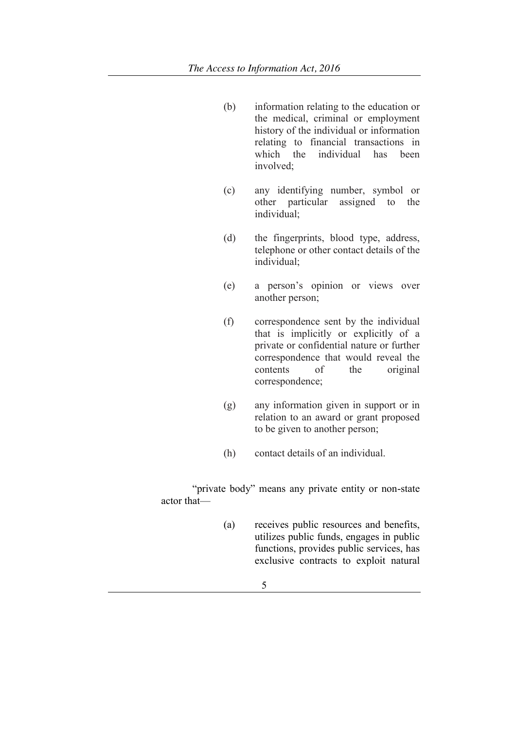- (b) information relating to the education or the medical, criminal or employment history of the individual or information relating to financial transactions in which the individual has been involved;
- (c) any identifying number, symbol or other particular assigned to the individual;
- (d) the fingerprints, blood type, address, telephone or other contact details of the individual;
- (e) a person's opinion or views over another person;
- (f) correspondence sent by the individual that is implicitly or explicitly of a private or confidential nature or further correspondence that would reveal the contents of the original correspondence;
- (g) any information given in support or in relation to an award or grant proposed to be given to another person;
- (h) contact details of an individual.

"private body" means any private entity or non-state actor that—

- (a) receives public resources and benefits, utilizes public funds, engages in public functions, provides public services, has exclusive contracts to exploit natural
	- 5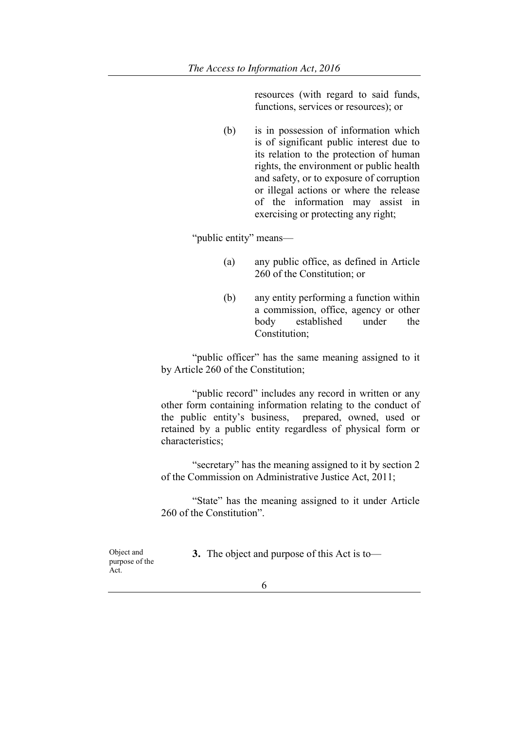resources (with regard to said funds, functions, services or resources); or

(b) is in possession of information which is of significant public interest due to its relation to the protection of human rights, the environment or public health and safety, or to exposure of corruption or illegal actions or where the release of the information may assist in exercising or protecting any right;

"public entity" means—

- (a) any public office, as defined in Article 260 of the Constitution; or
- (b) any entity performing a function within a commission, office, agency or other body established under the Constitution;

"public officer" has the same meaning assigned to it by Article 260 of the Constitution;

"public record" includes any record in written or any other form containing information relating to the conduct of the public entity's business, prepared, owned, used or retained by a public entity regardless of physical form or characteristics;

"secretary" has the meaning assigned to it by section 2 of the Commission on Administrative Justice Act, 2011;

"State" has the meaning assigned to it under Article 260 of the Constitution".

Object and purpose of the Act.

**3.** The object and purpose of this Act is to—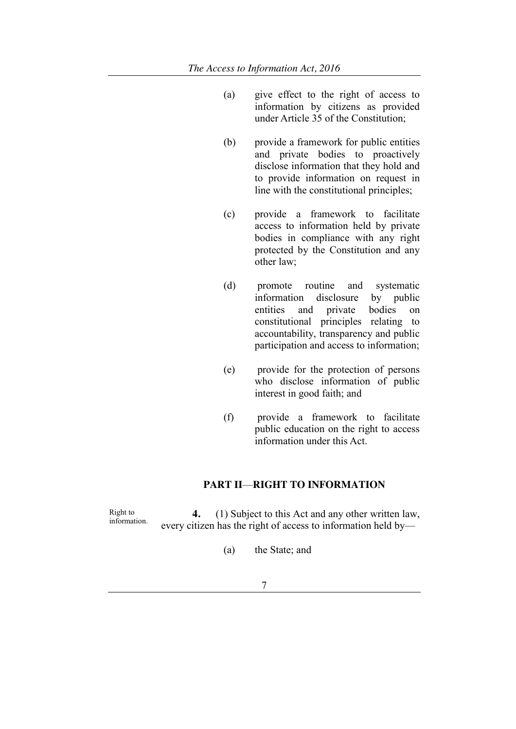- (a) give effect to the right of access to information by citizens as provided under Article 35 of the Constitution;
- (b) provide a framework for public entities and private bodies to proactively disclose information that they hold and to provide information on request in line with the constitutional principles;
- (c) provide a framework to facilitate access to information held by private bodies in compliance with any right protected by the Constitution and any other law;
- (d) promote routine and systematic information disclosure by public entities and private bodies on constitutional principles relating to accountability, transparency and public participation and access to information;
- (e) provide for the protection of persons who disclose information of public interest in good faith; and
- (f) provide a framework to facilitate public education on the right to access information under this Act.

## **PART II**—**RIGHT TO INFORMATION**

Right to<br>information. 4. (1) Subject to this Act and any other written law, every citizen has the right of access to information held by—

- (a) the State; and
	- 7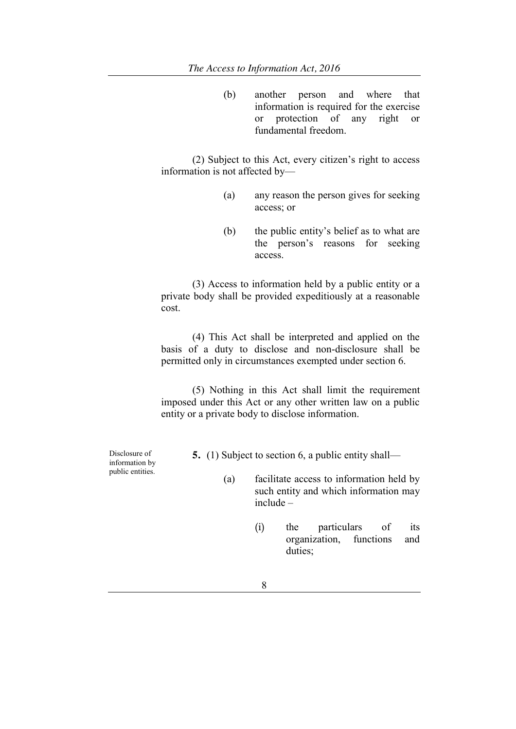(b) another person and where that information is required for the exercise or protection of any right or fundamental freedom.

(2) Subject to this Act, every citizen's right to access information is not affected by—

- (a) any reason the person gives for seeking access; or
- (b) the public entity's belief as to what are the person's reasons for seeking access.

(3) Access to information held by a public entity or a private body shall be provided expeditiously at a reasonable cost.

(4) This Act shall be interpreted and applied on the basis of a duty to disclose and non-disclosure shall be permitted only in circumstances exempted under section 6.

(5) Nothing in this Act shall limit the requirement imposed under this Act or any other written law on a public entity or a private body to disclose information.

Disclosure of information by public entities.

- **5.** (1) Subject to section 6, a public entity shall—
	- (a) facilitate access to information held by such entity and which information may include –
		- (i) the particulars of its organization, functions and duties;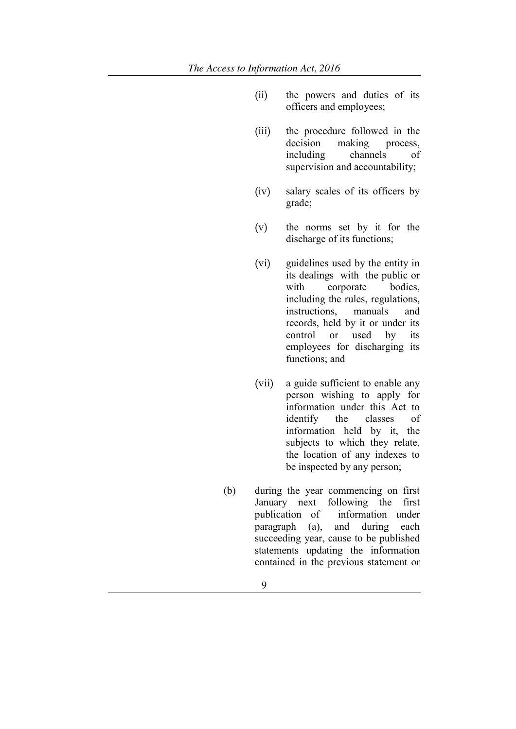- (ii) the powers and duties of its officers and employees;
- (iii) the procedure followed in the decision making process. including channels of supervision and accountability;
- (iv) salary scales of its officers by grade;
- (v) the norms set by it for the discharge of its functions;
- (vi) guidelines used by the entity in its dealings with the public or with corporate bodies, including the rules, regulations, instructions, manuals and records, held by it or under its control or used by its employees for discharging its functions; and
- (vii) a guide sufficient to enable any person wishing to apply for information under this Act to identify the classes of information held by it, the subjects to which they relate, the location of any indexes to be inspected by any person;
- (b) during the year commencing on first January next following the first publication of information under paragraph (a), and during each succeeding year, cause to be published statements updating the information contained in the previous statement or
	- 9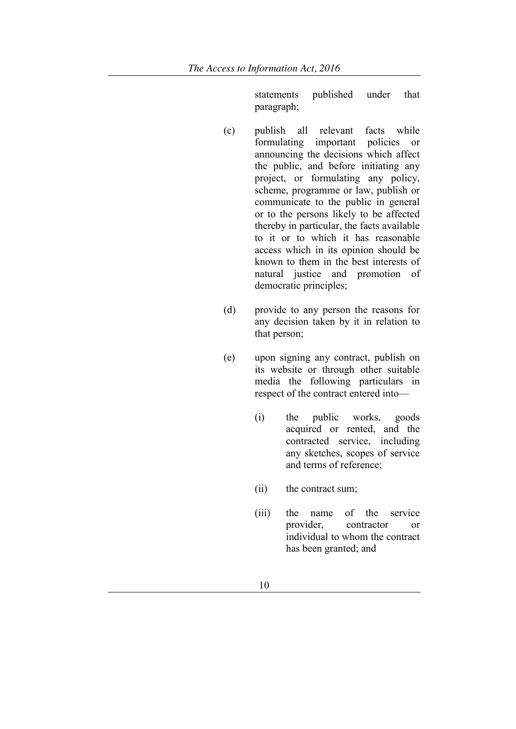statements published under that paragraph;

- (c) publish all relevant facts while formulating important policies or announcing the decisions which affect the public, and before initiating any project, or formulating any policy, scheme, programme or law, publish or communicate to the public in general or to the persons likely to be affected thereby in particular, the facts available to it or to which it has reasonable access which in its opinion should be known to them in the best interests of natural justice and promotion of democratic principles;
- (d) provide to any person the reasons for any decision taken by it in relation to that person;
- (e) upon signing any contract, publish on its website or through other suitable media the following particulars in respect of the contract entered into—
	- (i) the public works, goods acquired or rented, and the contracted service, including any sketches, scopes of service and terms of reference;
	- (ii) the contract sum;
	- (iii) the name of the service provider, contractor or individual to whom the contract has been granted; and
		- 10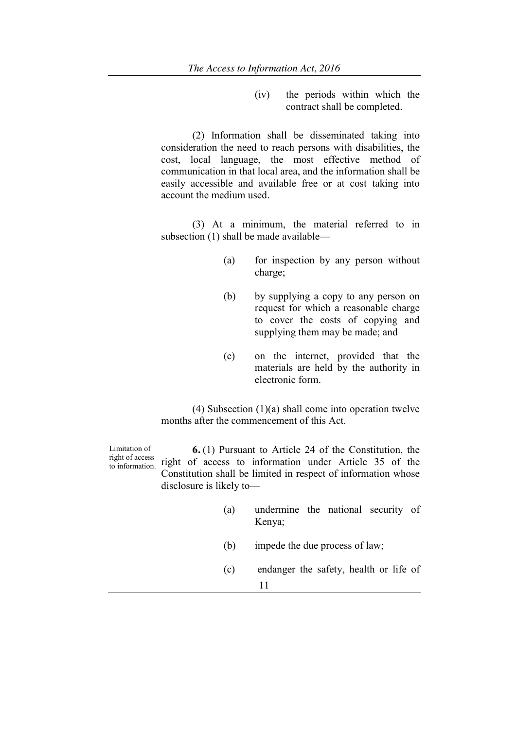(iv) the periods within which the contract shall be completed.

(2) Information shall be disseminated taking into consideration the need to reach persons with disabilities, the cost, local language, the most effective method of communication in that local area, and the information shall be easily accessible and available free or at cost taking into account the medium used.

(3) At a minimum, the material referred to in subsection (1) shall be made available—

- (a) for inspection by any person without charge;
- (b) by supplying a copy to any person on request for which a reasonable charge to cover the costs of copying and supplying them may be made; and
- (c) on the internet, provided that the materials are held by the authority in electronic form.

(4) Subsection (1)(a) shall come into operation twelve months after the commencement of this Act.

Limitation of right of access to information. **6.** (1) Pursuant to Article 24 of the Constitution, the right of access to information under Article 35 of the Constitution shall be limited in respect of information whose disclosure is likely to— (a) undermine the national security of Kenya; (b) impede the due process of law; (c) endanger the safety, health or life of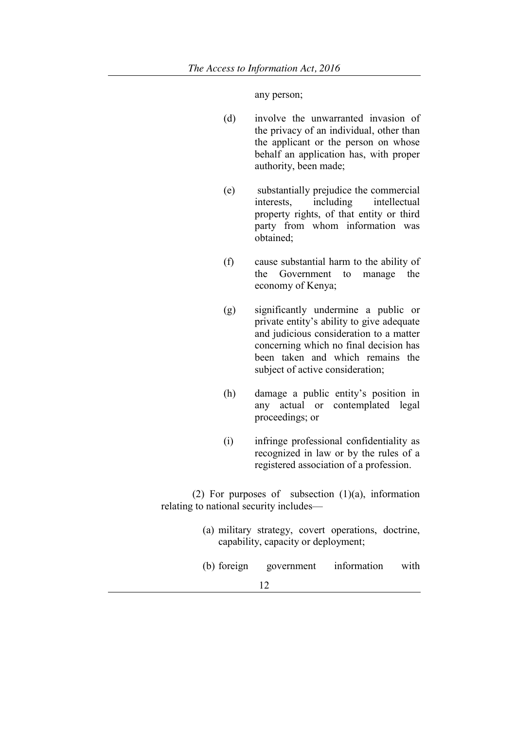any person;

- (d) involve the unwarranted invasion of the privacy of an individual, other than the applicant or the person on whose behalf an application has, with proper authority, been made;
- (e) substantially prejudice the commercial interests, including intellectual property rights, of that entity or third party from whom information was obtained;
- (f) cause substantial harm to the ability of the Government to manage the economy of Kenya;
- (g) significantly undermine a public or private entity's ability to give adequate and judicious consideration to a matter concerning which no final decision has been taken and which remains the subject of active consideration;
- (h) damage a public entity's position in any actual or contemplated legal proceedings; or
- (i) infringe professional confidentiality as recognized in law or by the rules of a registered association of a profession.

(2) For purposes of subsection  $(1)(a)$ , information relating to national security includes—

- (a) military strategy, covert operations, doctrine, capability, capacity or deployment;
- (b) foreign government information with
	- 12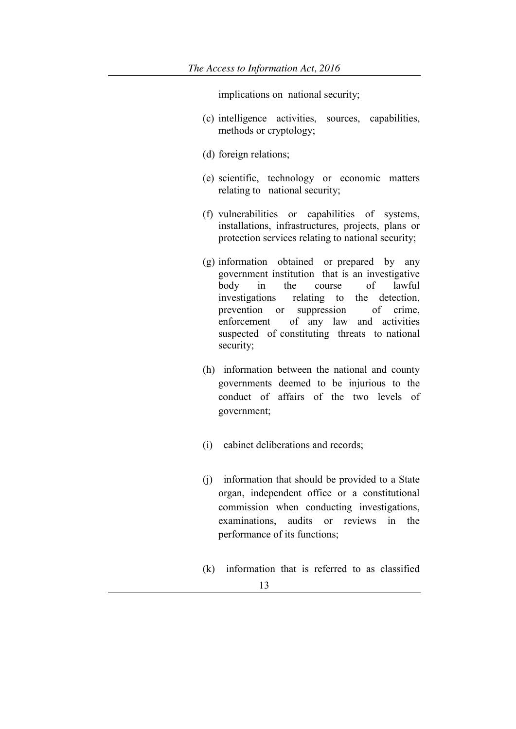implications on national security;

- (c) intelligence activities, sources, capabilities, methods or cryptology;
- (d) foreign relations;
- (e) scientific, technology or economic matters relating to national security;
- (f) vulnerabilities or capabilities of systems, installations, infrastructures, projects, plans or protection services relating to national security;
- (g) information obtained or prepared by any government institution that is an investigative body in the course of lawful investigations relating to the detection, prevention or suppression of crime, enforcement of any law and activities suspected of constituting threats to national security;
- (h) information between the national and county governments deemed to be injurious to the conduct of affairs of the two levels of government;
- (i) cabinet deliberations and records;
- (j) information that should be provided to a State organ, independent office or a constitutional commission when conducting investigations, examinations, audits or reviews in the performance of its functions;
- (k) information that is referred to as classified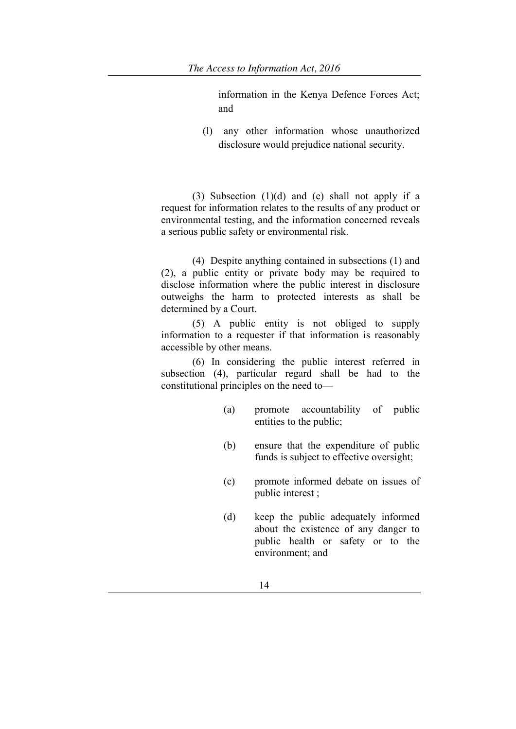information in the Kenya Defence Forces Act; and

(l) any other information whose unauthorized disclosure would prejudice national security.

(3) Subsection (1)(d) and (e) shall not apply if a request for information relates to the results of any product or environmental testing, and the information concerned reveals a serious public safety or environmental risk.

(4) Despite anything contained in subsections (1) and (2), a public entity or private body may be required to disclose information where the public interest in disclosure outweighs the harm to protected interests as shall be determined by a Court.

(5) A public entity is not obliged to supply information to a requester if that information is reasonably accessible by other means.

(6) In considering the public interest referred in subsection (4), particular regard shall be had to the constitutional principles on the need to—

- (a) promote accountability of public entities to the public;
- (b) ensure that the expenditure of public funds is subject to effective oversight;
- (c) promote informed debate on issues of public interest ;
- (d) keep the public adequately informed about the existence of any danger to public health or safety or to the environment; and
	- 14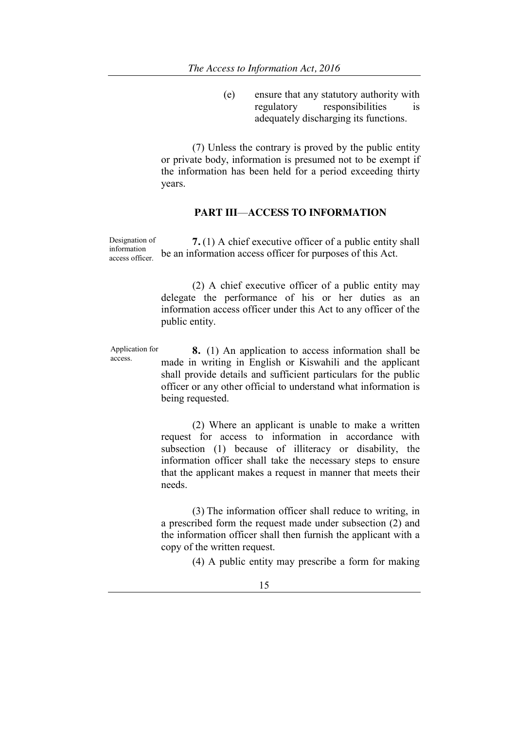(e) ensure that any statutory authority with regulatory responsibilities is adequately discharging its functions.

(7) Unless the contrary is proved by the public entity or private body, information is presumed not to be exempt if the information has been held for a period exceeding thirty years.

### **PART III**—**ACCESS TO INFORMATION**

Designation of information access officer. **7.** (1) A chief executive officer of a public entity shall be an information access officer for purposes of this Act.

> (2) A chief executive officer of a public entity may delegate the performance of his or her duties as an information access officer under this Act to any officer of the public entity.

Application for Application for  $\bullet$  **8.** (1) An application to access information shall be access. made in writing in English or Kiswahili and the applicant shall provide details and sufficient particulars for the public officer or any other official to understand what information is being requested.

> (2) Where an applicant is unable to make a written request for access to information in accordance with subsection (1) because of illiteracy or disability, the information officer shall take the necessary steps to ensure that the applicant makes a request in manner that meets their needs.

> (3) The information officer shall reduce to writing, in a prescribed form the request made under subsection (2) and the information officer shall then furnish the applicant with a copy of the written request.

> > (4) A public entity may prescribe a form for making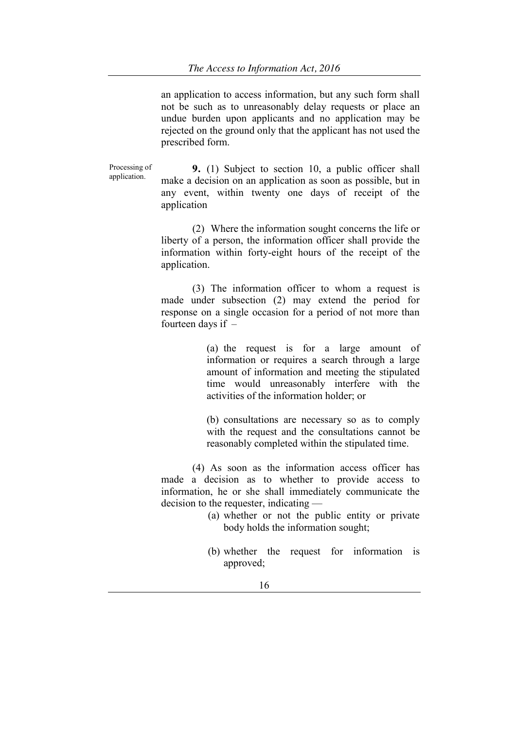an application to access information, but any such form shall not be such as to unreasonably delay requests or place an undue burden upon applicants and no application may be rejected on the ground only that the applicant has not used the prescribed form.

Processing of Processing of **9.** (1) Subject to section 10, a public officer shall application. make a decision on an application as soon as possible, but in any event, within twenty one days of receipt of the application

> (2) Where the information sought concerns the life or liberty of a person, the information officer shall provide the information within forty-eight hours of the receipt of the application.

> (3) The information officer to whom a request is made under subsection (2) may extend the period for response on a single occasion for a period of not more than fourteen days if –

> > (a) the request is for a large amount of information or requires a search through a large amount of information and meeting the stipulated time would unreasonably interfere with the activities of the information holder; or

> > (b) consultations are necessary so as to comply with the request and the consultations cannot be reasonably completed within the stipulated time.

(4) As soon as the information access officer has made a decision as to whether to provide access to information, he or she shall immediately communicate the decision to the requester, indicating —

- (a) whether or not the public entity or private body holds the information sought;
- (b) whether the request for information is approved;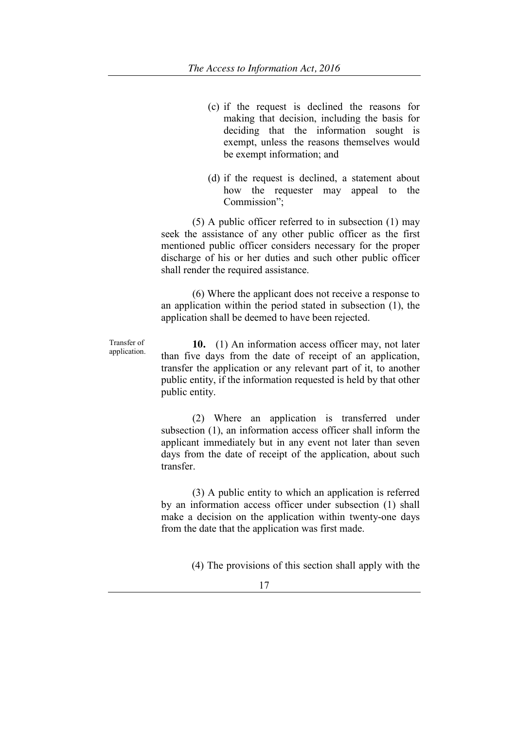- (c) if the request is declined the reasons for making that decision, including the basis for deciding that the information sought is exempt, unless the reasons themselves would be exempt information; and
- (d) if the request is declined, a statement about how the requester may appeal to the Commission":

(5) A public officer referred to in subsection (1) may seek the assistance of any other public officer as the first mentioned public officer considers necessary for the proper discharge of his or her duties and such other public officer shall render the required assistance.

(6) Where the applicant does not receive a response to an application within the period stated in subsection (1), the application shall be deemed to have been rejected.

Transfer of **10.** (1) An information access officer may, not later<br>application. than five days from the date of receipt of an application, transfer the application or any relevant part of it, to another public entity, if the information requested is held by that other public entity.

> (2) Where an application is transferred under subsection (1), an information access officer shall inform the applicant immediately but in any event not later than seven days from the date of receipt of the application, about such transfer.

> (3) A public entity to which an application is referred by an information access officer under subsection (1) shall make a decision on the application within twenty-one days from the date that the application was first made.

> > (4) The provisions of this section shall apply with the

17

Transfer of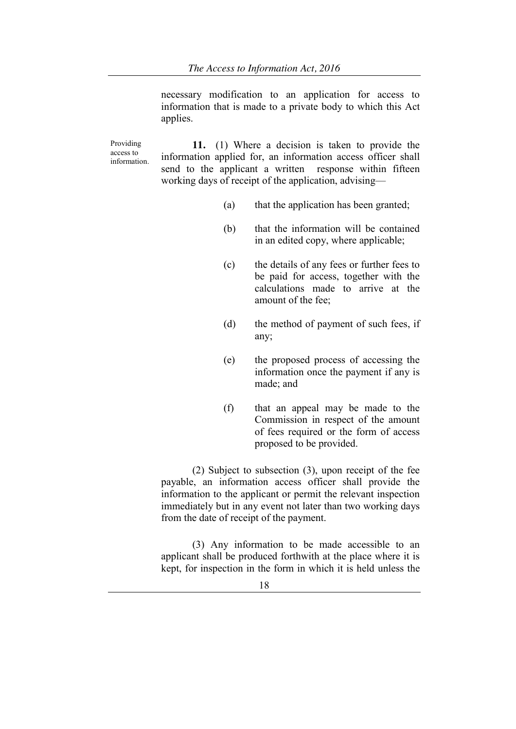necessary modification to an application for access to information that is made to a private body to which this Act applies.

Providing access to information. **11.** (1) Where a decision is taken to provide the information applied for, an information access officer shall send to the applicant a written response within fifteen working days of receipt of the application, advising—

- (a) that the application has been granted;
- (b) that the information will be contained in an edited copy, where applicable;
- (c) the details of any fees or further fees to be paid for access, together with the calculations made to arrive at the amount of the fee;
- (d) the method of payment of such fees, if any;
- (e) the proposed process of accessing the information once the payment if any is made; and
- (f) that an appeal may be made to the Commission in respect of the amount of fees required or the form of access proposed to be provided.

(2) Subject to subsection (3), upon receipt of the fee payable, an information access officer shall provide the information to the applicant or permit the relevant inspection immediately but in any event not later than two working days from the date of receipt of the payment.

(3) Any information to be made accessible to an applicant shall be produced forthwith at the place where it is kept, for inspection in the form in which it is held unless the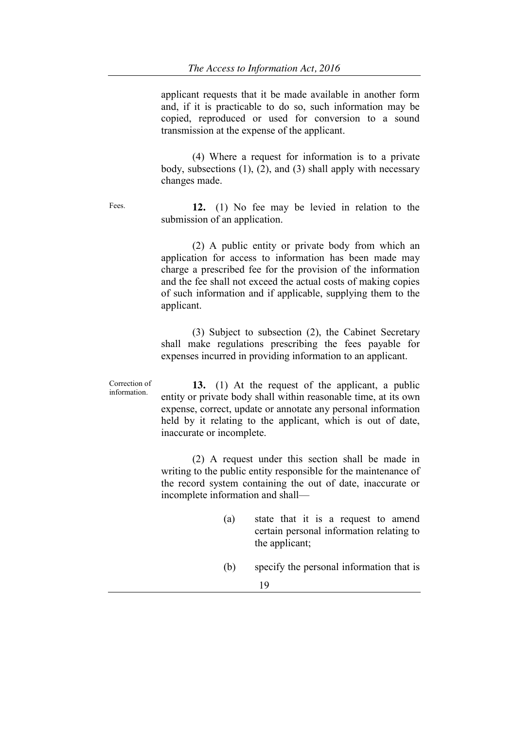applicant requests that it be made available in another form and, if it is practicable to do so, such information may be copied, reproduced or used for conversion to a sound transmission at the expense of the applicant.

(4) Where a request for information is to a private body, subsections  $(1)$ ,  $(2)$ , and  $(3)$  shall apply with necessary changes made.

Fees. **12.** (1) No fee may be levied in relation to the submission of an application.

> (2) A public entity or private body from which an application for access to information has been made may charge a prescribed fee for the provision of the information and the fee shall not exceed the actual costs of making copies of such information and if applicable, supplying them to the applicant.

> (3) Subject to subsection (2), the Cabinet Secretary shall make regulations prescribing the fees payable for expenses incurred in providing information to an applicant.

Correction of Correction of **13.** (1) At the request of the applicant, a public information entity or private body shall within reasonable time, at its own expense, correct, update or annotate any personal information held by it relating to the applicant, which is out of date, inaccurate or incomplete.

> (2) A request under this section shall be made in writing to the public entity responsible for the maintenance of the record system containing the out of date, inaccurate or incomplete information and shall—

- (a) state that it is a request to amend certain personal information relating to the applicant;
- (b) specify the personal information that is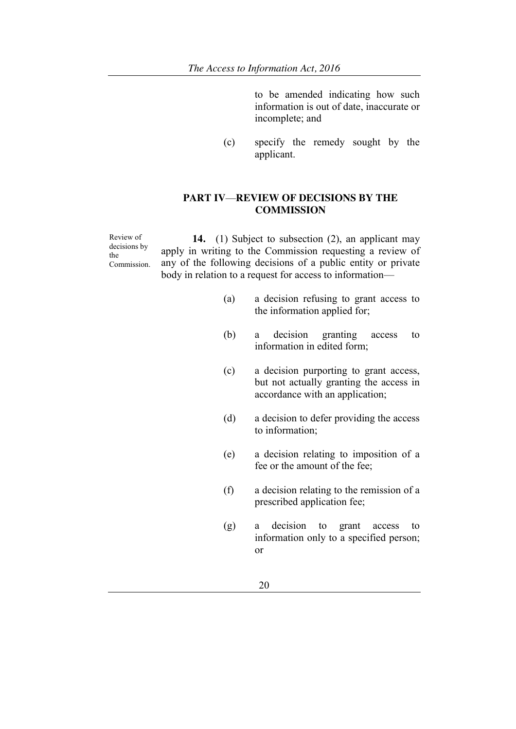to be amended indicating how such information is out of date, inaccurate or incomplete; and

(c) specify the remedy sought by the applicant.

# **PART IV**—**REVIEW OF DECISIONS BY THE COMMISSION**

Review of decisions by the Commission.

**14.** (1) Subject to subsection (2), an applicant may apply in writing to the Commission requesting a review of any of the following decisions of a public entity or private body in relation to a request for access to information—

- (a) a decision refusing to grant access to the information applied for;
- (b) a decision granting access to information in edited form;
- (c) a decision purporting to grant access, but not actually granting the access in accordance with an application;
- (d) a decision to defer providing the access to information;
- (e) a decision relating to imposition of a fee or the amount of the fee;
- (f) a decision relating to the remission of a prescribed application fee;
- (g) a decision to grant access to information only to a specified person; or
	- 20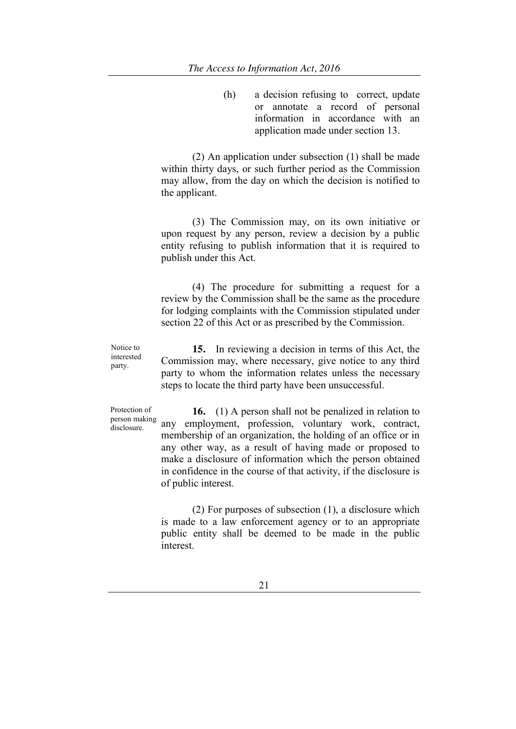(h) a decision refusing to correct, update or annotate a record of personal information in accordance with an application made under section 13.

(2) An application under subsection (1) shall be made within thirty days, or such further period as the Commission may allow, from the day on which the decision is notified to the applicant.

(3) The Commission may, on its own initiative or upon request by any person, review a decision by a public entity refusing to publish information that it is required to publish under this Act.

(4) The procedure for submitting a request for a review by the Commission shall be the same as the procedure for lodging complaints with the Commission stipulated under section 22 of this Act or as prescribed by the Commission.

Notice to interested party.

**15.** In reviewing a decision in terms of this Act, the Commission may, where necessary, give notice to any third party to whom the information relates unless the necessary steps to locate the third party have been unsuccessful.

Protection of person making disclosure.

**16.** (1) A person shall not be penalized in relation to any employment, profession, voluntary work, contract, membership of an organization, the holding of an office or in any other way, as a result of having made or proposed to make a disclosure of information which the person obtained in confidence in the course of that activity, if the disclosure is of public interest.

(2) For purposes of subsection (1), a disclosure which is made to a law enforcement agency or to an appropriate public entity shall be deemed to be made in the public interest.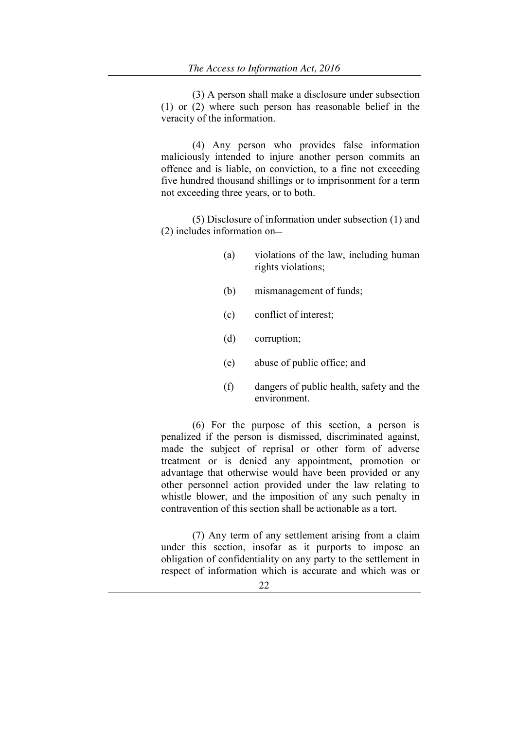(3) A person shall make a disclosure under subsection (1) or (2) where such person has reasonable belief in the veracity of the information.

(4) Any person who provides false information maliciously intended to injure another person commits an offence and is liable, on conviction, to a fine not exceeding five hundred thousand shillings or to imprisonment for a term not exceeding three years, or to both.

(5) Disclosure of information under subsection (1) and (2) includes information on—

- (a) violations of the law, including human rights violations;
- (b) mismanagement of funds;
- (c) conflict of interest;
- (d) corruption;
- (e) abuse of public office; and
- (f) dangers of public health, safety and the environment.

(6) For the purpose of this section, a person is penalized if the person is dismissed, discriminated against, made the subject of reprisal or other form of adverse treatment or is denied any appointment, promotion or advantage that otherwise would have been provided or any other personnel action provided under the law relating to whistle blower, and the imposition of any such penalty in contravention of this section shall be actionable as a tort.

(7) Any term of any settlement arising from a claim under this section, insofar as it purports to impose an obligation of confidentiality on any party to the settlement in respect of information which is accurate and which was or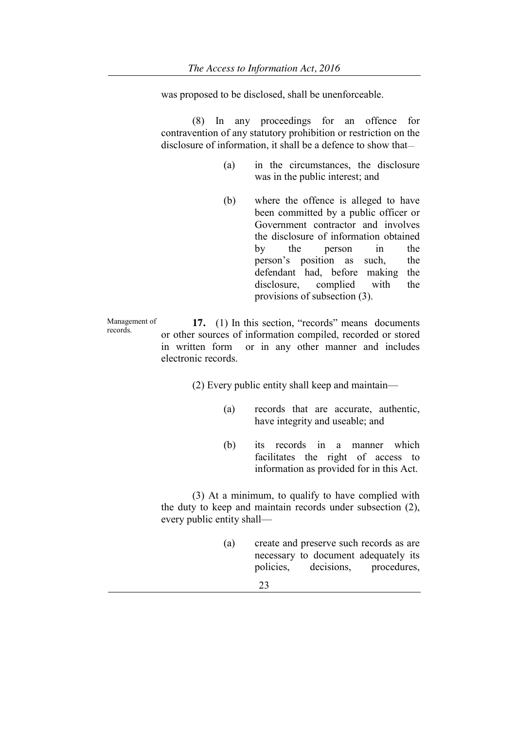was proposed to be disclosed, shall be unenforceable.

(8) In any proceedings for an offence for contravention of any statutory prohibition or restriction on the disclosure of information, it shall be a defence to show that—

- (a) in the circumstances, the disclosure was in the public interest; and
- (b) where the offence is alleged to have been committed by a public officer or Government contractor and involves the disclosure of information obtained by the person in the person's position as such, the defendant had, before making the disclosure, complied with the provisions of subsection (3).

Management of Management of **17.** (1) In this section, "records" means documents records or other sources of information compiled, recorded or stored in written form or in any other manner and includes electronic records.

(2) Every public entity shall keep and maintain—

- (a) records that are accurate, authentic, have integrity and useable; and
- (b) its records in a manner which facilitates the right of access to information as provided for in this Act.

(3) At a minimum, to qualify to have complied with the duty to keep and maintain records under subsection (2), every public entity shall—

- (a) create and preserve such records as are necessary to document adequately its policies, decisions, procedures,
	- 23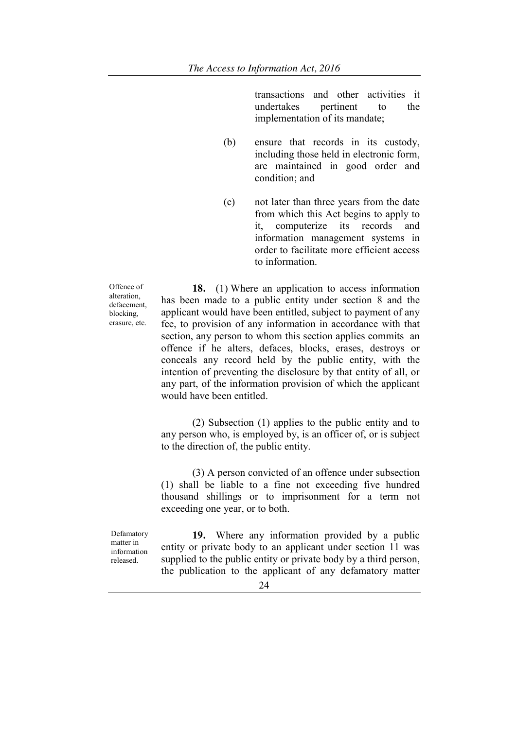transactions and other activities it undertakes pertinent to the implementation of its mandate;

- (b) ensure that records in its custody, including those held in electronic form, are maintained in good order and condition; and
- (c) not later than three years from the date from which this Act begins to apply to it, computerize its records and information management systems in order to facilitate more efficient access to information.

Offence of alteration, defacement, blocking, erasure, etc.

**18.** (1) Where an application to access information has been made to a public entity under section 8 and the applicant would have been entitled, subject to payment of any fee, to provision of any information in accordance with that section, any person to whom this section applies commits an offence if he alters, defaces, blocks, erases, destroys or conceals any record held by the public entity, with the intention of preventing the disclosure by that entity of all, or any part, of the information provision of which the applicant would have been entitled.

(2) Subsection (1) applies to the public entity and to any person who, is employed by, is an officer of, or is subject to the direction of, the public entity.

(3) A person convicted of an offence under subsection (1) shall be liable to a fine not exceeding five hundred thousand shillings or to imprisonment for a term not exceeding one year, or to both.

Defamatory matter in information released.

**19.** Where any information provided by a public entity or private body to an applicant under section 11 was supplied to the public entity or private body by a third person, the publication to the applicant of any defamatory matter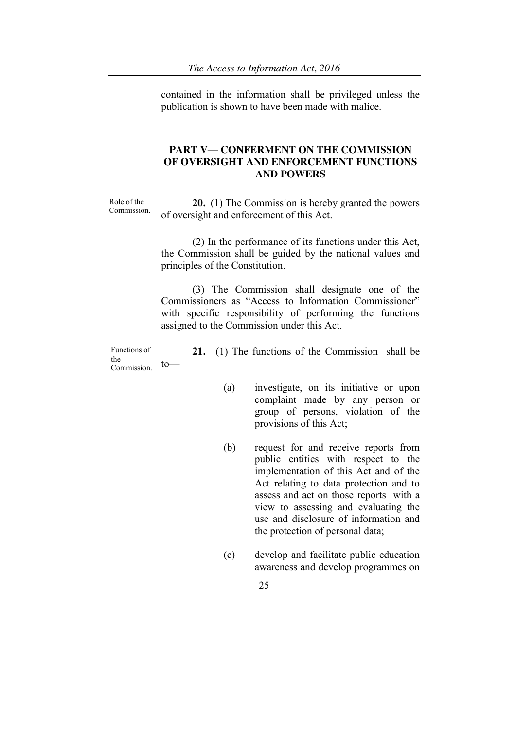contained in the information shall be privileged unless the publication is shown to have been made with malice.

# **PART V**— **CONFERMENT ON THE COMMISSION OF OVERSIGHT AND ENFORCEMENT FUNCTIONS AND POWERS**

Role of the

Role of the **20.** (1) The Commission is hereby granted the powers Commission. of oversight and enforcement of this Act.

> (2) In the performance of its functions under this Act, the Commission shall be guided by the national values and principles of the Constitution.

> (3) The Commission shall designate one of the Commissioners as "Access to Information Commissioner" with specific responsibility of performing the functions assigned to the Commission under this Act.

Functions of the Commission. to—

**21.** (1) The functions of the Commission shall be

- (a) investigate, on its initiative or upon complaint made by any person or group of persons, violation of the provisions of this Act;
- (b) request for and receive reports from public entities with respect to the implementation of this Act and of the Act relating to data protection and to assess and act on those reports with a view to assessing and evaluating the use and disclosure of information and the protection of personal data;
- (c) develop and facilitate public education awareness and develop programmes on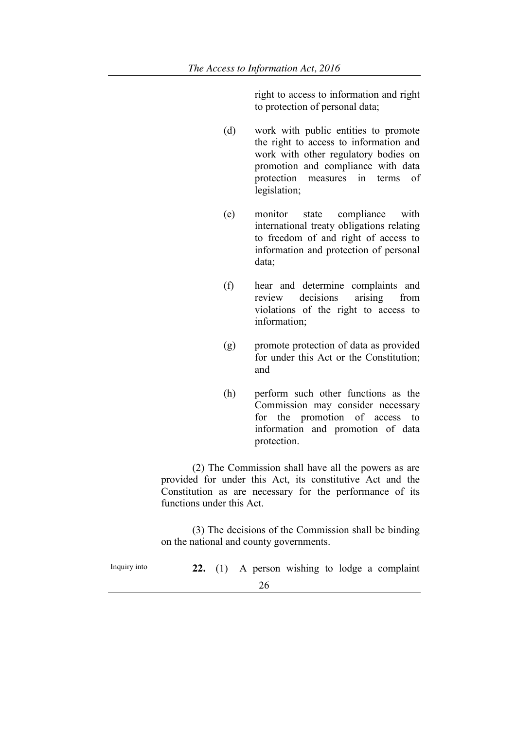right to access to information and right to protection of personal data;

- (d) work with public entities to promote the right to access to information and work with other regulatory bodies on promotion and compliance with data protection measures in terms of legislation;
- (e) monitor state compliance with international treaty obligations relating to freedom of and right of access to information and protection of personal data;
- (f) hear and determine complaints and review decisions arising from violations of the right to access to information;
- (g) promote protection of data as provided for under this Act or the Constitution; and
- (h) perform such other functions as the Commission may consider necessary for the promotion of access to information and promotion of data protection.

(2) The Commission shall have all the powers as are provided for under this Act, its constitutive Act and the Constitution as are necessary for the performance of its functions under this Act.

(3) The decisions of the Commission shall be binding on the national and county governments.

26 Inquiry into **22.** (1) A person wishing to lodge a complaint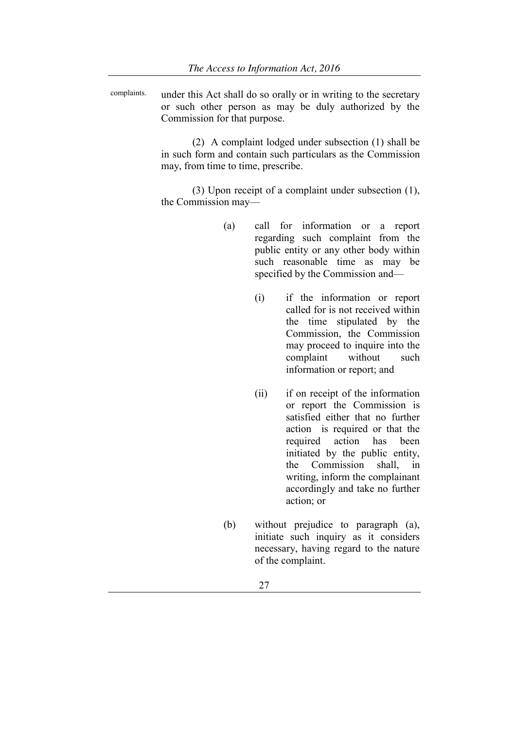complaints. under this Act shall do so orally or in writing to the secretary or such other person as may be duly authorized by the Commission for that purpose.

> (2) A complaint lodged under subsection (1) shall be in such form and contain such particulars as the Commission may, from time to time, prescribe.

> (3) Upon receipt of a complaint under subsection (1), the Commission may—

- (a) call for information or a report regarding such complaint from the public entity or any other body within such reasonable time as may be specified by the Commission and—
	- (i) if the information or report called for is not received within the time stipulated by the Commission, the Commission may proceed to inquire into the complaint without such information or report; and
	- (ii) if on receipt of the information or report the Commission is satisfied either that no further action is required or that the required action has been initiated by the public entity, the Commission shall, in writing, inform the complainant accordingly and take no further action; or
- (b) without prejudice to paragraph (a), initiate such inquiry as it considers necessary, having regard to the nature of the complaint.
	- 27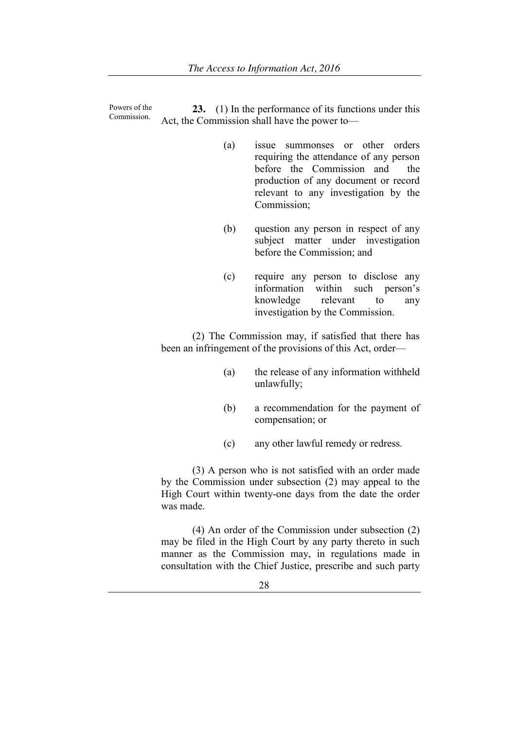Powers of the Commission. **23.** (1) In the performance of its functions under this Act, the Commission shall have the power to—

- (a) issue summonses or other orders requiring the attendance of any person before the Commission and the production of any document or record relevant to any investigation by the Commission;
- (b) question any person in respect of any subject matter under investigation before the Commission; and
- (c) require any person to disclose any information within such person's knowledge relevant to any investigation by the Commission.

(2) The Commission may, if satisfied that there has been an infringement of the provisions of this Act, order—

- (a) the release of any information withheld unlawfully;
- (b) a recommendation for the payment of compensation; or
- (c) any other lawful remedy or redress.

(3) A person who is not satisfied with an order made by the Commission under subsection (2) may appeal to the High Court within twenty-one days from the date the order was made.

(4) An order of the Commission under subsection (2) may be filed in the High Court by any party thereto in such manner as the Commission may, in regulations made in consultation with the Chief Justice, prescribe and such party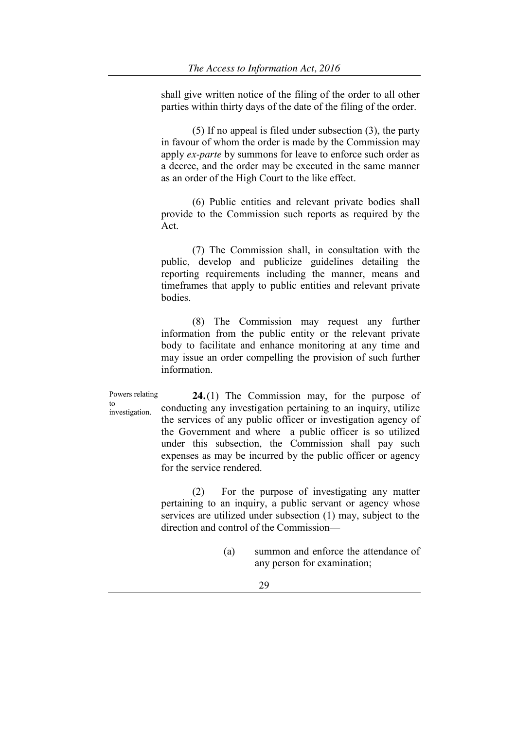shall give written notice of the filing of the order to all other parties within thirty days of the date of the filing of the order.

(5) If no appeal is filed under subsection (3), the party in favour of whom the order is made by the Commission may apply *ex-parte* by summons for leave to enforce such order as a decree, and the order may be executed in the same manner as an order of the High Court to the like effect.

(6) Public entities and relevant private bodies shall provide to the Commission such reports as required by the Act.

(7) The Commission shall, in consultation with the public, develop and publicize guidelines detailing the reporting requirements including the manner, means and timeframes that apply to public entities and relevant private bodies.

(8) The Commission may request any further information from the public entity or the relevant private body to facilitate and enhance monitoring at any time and may issue an order compelling the provision of such further information.

Powers relating to investigation.

**24.**(1) The Commission may, for the purpose of conducting any investigation pertaining to an inquiry, utilize the services of any public officer or investigation agency of the Government and where a public officer is so utilized under this subsection, the Commission shall pay such expenses as may be incurred by the public officer or agency for the service rendered.

(2) For the purpose of investigating any matter pertaining to an inquiry, a public servant or agency whose services are utilized under subsection (1) may, subject to the direction and control of the Commission—

> (a) summon and enforce the attendance of any person for examination;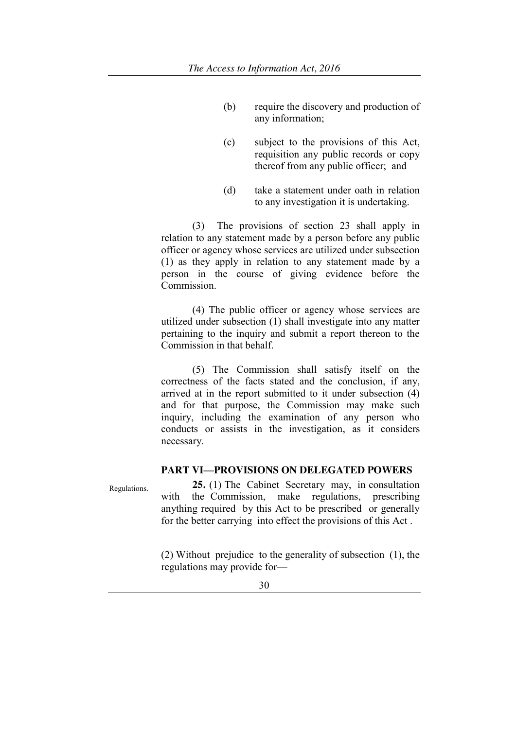- (b) require the discovery and production of any information;
- (c) subject to the provisions of this Act, requisition any public records or copy thereof from any public officer; and
- (d) take a statement under oath in relation to any investigation it is undertaking.

(3) The provisions of section 23 shall apply in relation to any statement made by a person before any public officer or agency whose services are utilized under subsection (1) as they apply in relation to any statement made by a person in the course of giving evidence before the Commission.

(4) The public officer or agency whose services are utilized under subsection (1) shall investigate into any matter pertaining to the inquiry and submit a report thereon to the Commission in that behalf.

(5) The Commission shall satisfy itself on the correctness of the facts stated and the conclusion, if any, arrived at in the report submitted to it under subsection (4) and for that purpose, the Commission may make such inquiry, including the examination of any person who conducts or assists in the investigation, as it considers necessary.

# **PART VI—PROVISIONS ON DELEGATED POWERS**

Regulations. **25.** (1) The Cabinet Secretary may, in consultation<br>with the Commission make regulations prescribing the Commission, make regulations, prescribing anything required by this Act to be prescribed or generally for the better carrying into effect the provisions of this Act .

> (2) Without prejudice to the generality of subsection (1), the regulations may provide for—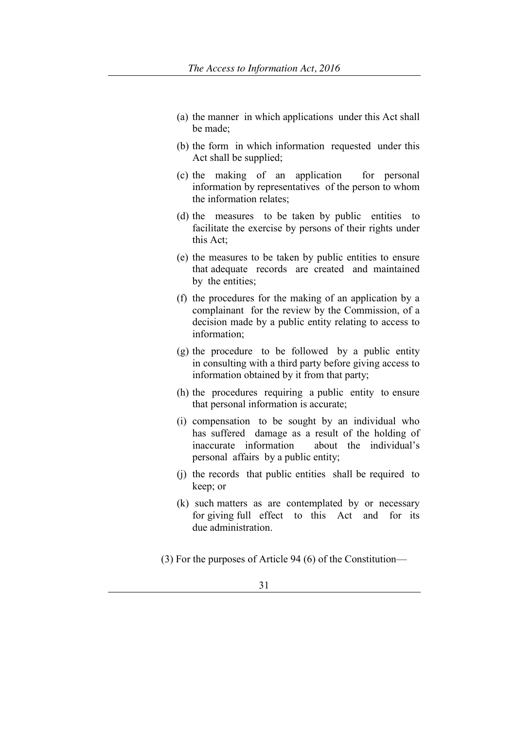- (a) the manner in which applications under this Act shall be made;
- (b) the form in which information requested under this Act shall be supplied;
- (c) the making of an application for personal information by representatives of the person to whom the information relates;
- (d) the measures to be taken by public entities to facilitate the exercise by persons of their rights under this Act;
- (e) the measures to be taken by public entities to ensure that adequate records are created and maintained by the entities;
- (f) the procedures for the making of an application by a complainant for the review by the Commission, of a decision made by a public entity relating to access to information;
- (g) the procedure to be followed by a public entity in consulting with a third party before giving access to information obtained by it from that party;
- (h) the procedures requiring a public entity to ensure that personal information is accurate;
- (i) compensation to be sought by an individual who has suffered damage as a result of the holding of inaccurate information about the individual's personal affairs by a public entity;
- (j) the records that public entities shall be required to keep; or
- (k) such matters as are contemplated by or necessary for giving full effect to this Act and for its due administration.
- (3) For the purposes of Article 94 (6) of the Constitution—
	- 31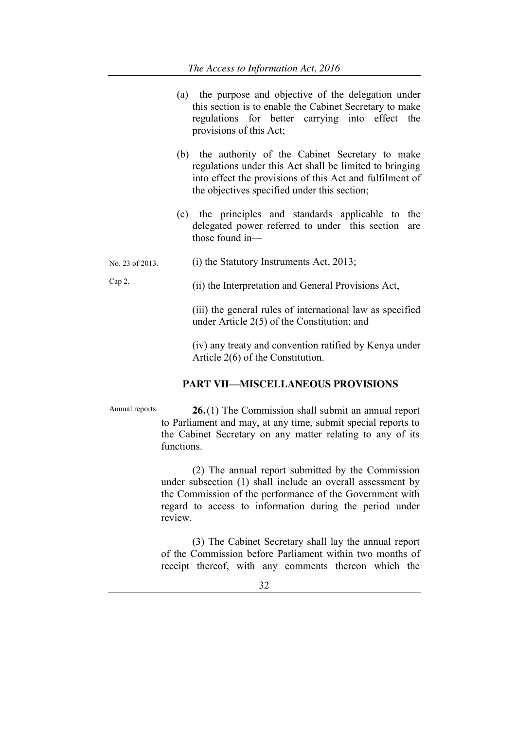- (a) the purpose and objective of the delegation under this section is to enable the Cabinet Secretary to make regulations for better carrying into effect the provisions of this Act;
- (b) the authority of the Cabinet Secretary to make regulations under this Act shall be limited to bringing into effect the provisions of this Act and fulfilment of the objectives specified under this section;
- (c) the principles and standards applicable to the delegated power referred to under this section are those found in—
- No. 23 of 2013. (i) the Statutory Instruments Act, 2013;

Cap 2.

(ii) the Interpretation and General Provisions Act,

(iii) the general rules of international law as specified under Article 2(5) of the Constitution; and

(iv) any treaty and convention ratified by Kenya under Article 2(6) of the Constitution.

### **PART VII—MISCELLANEOUS PROVISIONS**

Annual reports. **26.**(1) The Commission shall submit an annual report to Parliament and may, at any time, submit special reports to the Cabinet Secretary on any matter relating to any of its functions.

> (2) The annual report submitted by the Commission under subsection (1) shall include an overall assessment by the Commission of the performance of the Government with regard to access to information during the period under review.

> (3) The Cabinet Secretary shall lay the annual report of the Commission before Parliament within two months of receipt thereof, with any comments thereon which the

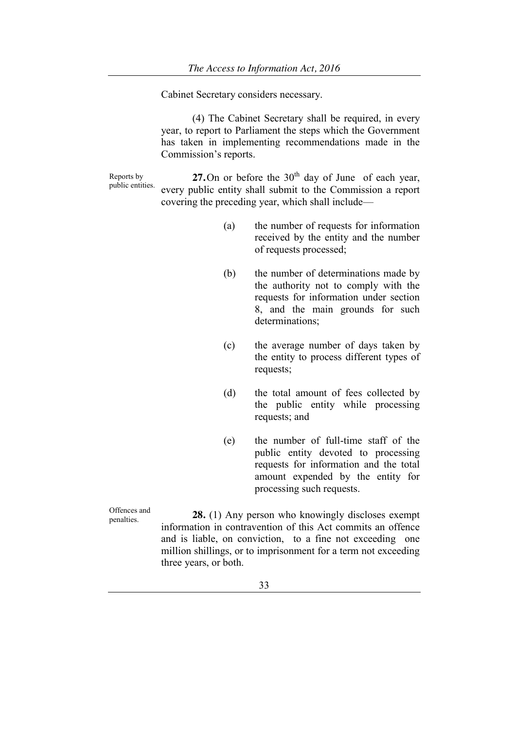Cabinet Secretary considers necessary.

(4) The Cabinet Secretary shall be required, in every year, to report to Parliament the steps which the Government has taken in implementing recommendations made in the Commission's reports.

Reports by public entities. **27.**On or before the  $30<sup>th</sup>$  day of June of each year, every public entity shall submit to the Commission a report covering the preceding year, which shall include—

- (a) the number of requests for information received by the entity and the number of requests processed;
- (b) the number of determinations made by the authority not to comply with the requests for information under section 8, and the main grounds for such determinations;
- (c) the average number of days taken by the entity to process different types of requests;
- (d) the total amount of fees collected by the public entity while processing requests; and
- (e) the number of full-time staff of the public entity devoted to processing requests for information and the total amount expended by the entity for processing such requests.

Offences and penalties. **28.** (1) Any person who knowingly discloses exempt information in contravention of this Act commits an offence and is liable, on conviction, to a fine not exceeding one million shillings, or to imprisonment for a term not exceeding three years, or both.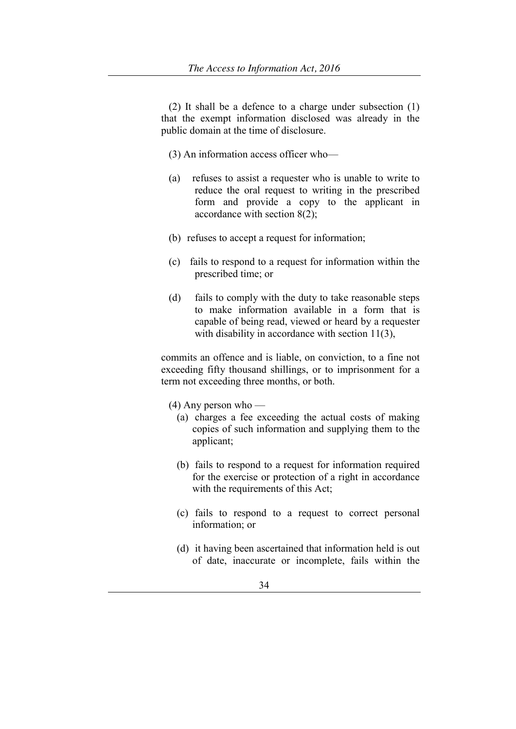(2) It shall be a defence to a charge under subsection (1) that the exempt information disclosed was already in the public domain at the time of disclosure.

- (3) An information access officer who—
- (a) refuses to assist a requester who is unable to write to reduce the oral request to writing in the prescribed form and provide a copy to the applicant in accordance with section 8(2);
- (b) refuses to accept a request for information;
- (c) fails to respond to a request for information within the prescribed time; or
- (d) fails to comply with the duty to take reasonable steps to make information available in a form that is capable of being read, viewed or heard by a requester with disability in accordance with section 11(3),

commits an offence and is liable, on conviction, to a fine not exceeding fifty thousand shillings, or to imprisonment for a term not exceeding three months, or both.

- (4) Any person who
	- (a) charges a fee exceeding the actual costs of making copies of such information and supplying them to the applicant;
	- (b) fails to respond to a request for information required for the exercise or protection of a right in accordance with the requirements of this Act;
	- (c) fails to respond to a request to correct personal information; or
	- (d) it having been ascertained that information held is out of date, inaccurate or incomplete, fails within the

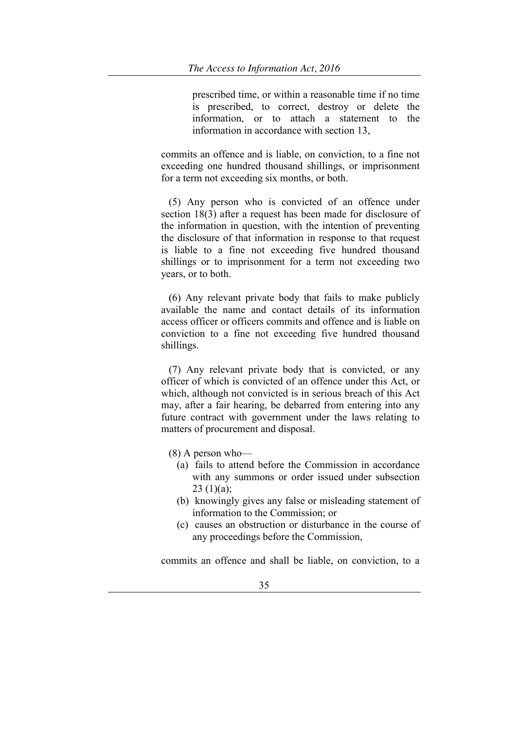prescribed time, or within a reasonable time if no time is prescribed, to correct, destroy or delete the information, or to attach a statement to the information in accordance with section 13,

commits an offence and is liable, on conviction, to a fine not exceeding one hundred thousand shillings, or imprisonment for a term not exceeding six months, or both.

(5) Any person who is convicted of an offence under section 18(3) after a request has been made for disclosure of the information in question, with the intention of preventing the disclosure of that information in response to that request is liable to a fine not exceeding five hundred thousand shillings or to imprisonment for a term not exceeding two years, or to both.

(6) Any relevant private body that fails to make publicly available the name and contact details of its information access officer or officers commits and offence and is liable on conviction to a fine not exceeding five hundred thousand shillings.

(7) Any relevant private body that is convicted, or any officer of which is convicted of an offence under this Act, or which, although not convicted is in serious breach of this Act may, after a fair hearing, be debarred from entering into any future contract with government under the laws relating to matters of procurement and disposal.

- (8) A person who—
	- (a) fails to attend before the Commission in accordance with any summons or order issued under subsection  $23(1)(a)$ ;
	- (b) knowingly gives any false or misleading statement of information to the Commission; or
	- (c) causes an obstruction or disturbance in the course of any proceedings before the Commission,

commits an offence and shall be liable, on conviction, to a

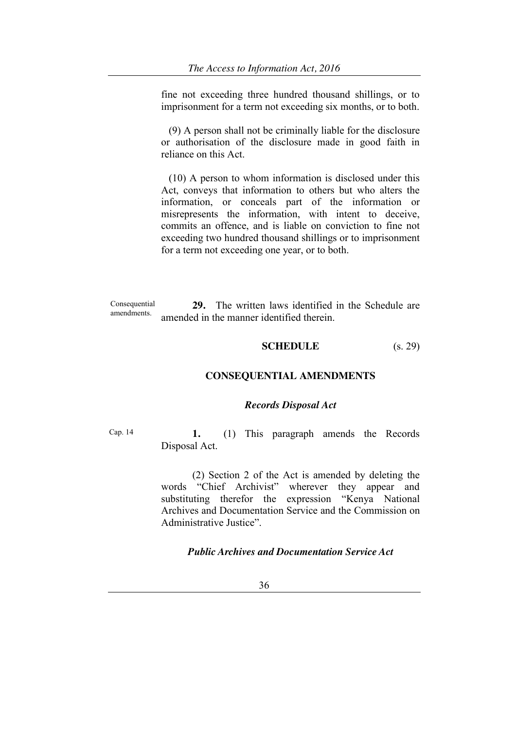fine not exceeding three hundred thousand shillings, or to imprisonment for a term not exceeding six months, or to both.

(9) A person shall not be criminally liable for the disclosure or authorisation of the disclosure made in good faith in reliance on this Act.

(10) A person to whom information is disclosed under this Act, conveys that information to others but who alters the information, or conceals part of the information or misrepresents the information, with intent to deceive, commits an offence, and is liable on conviction to fine not exceeding two hundred thousand shillings or to imprisonment for a term not exceeding one year, or to both.

Consequential amendments. **29.** The written laws identified in the Schedule are amended in the manner identified therein.

# **SCHEDULE** (s. 29)

### **CONSEQUENTIAL AMENDMENTS**

#### *Records Disposal Act*

Cap. 14 **1.** (1) This paragraph amends the Records Disposal Act.

> (2) Section 2 of the Act is amended by deleting the words "Chief Archivist" wherever they appear and substituting therefor the expression "Kenya National Archives and Documentation Service and the Commission on Administrative Justice"

### *Public Archives and Documentation Service Act*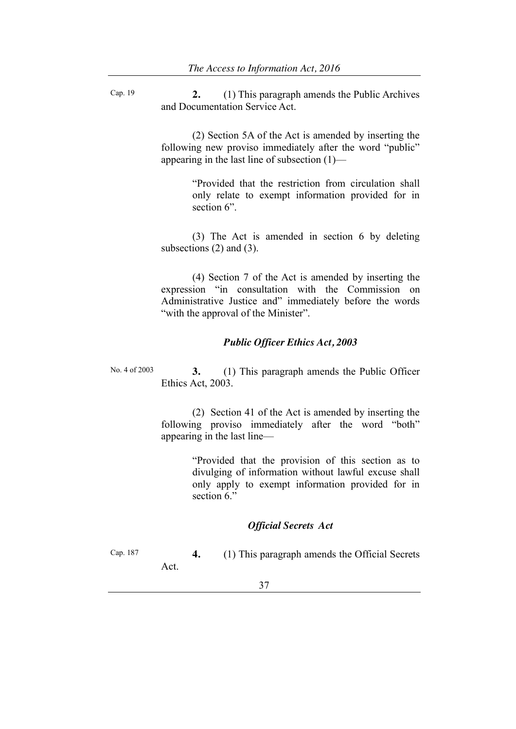Cap. 19 **2.** (1) This paragraph amends the Public Archives and Documentation Service Act.

> (2) Section 5A of the Act is amended by inserting the following new proviso immediately after the word "public" appearing in the last line of subsection (1)—

> > ―Provided that the restriction from circulation shall only relate to exempt information provided for in section 6".

(3) The Act is amended in section 6 by deleting subsections  $(2)$  and  $(3)$ .

(4) Section 7 of the Act is amended by inserting the expression "in consultation with the Commission on Administrative Justice and" immediately before the words "with the approval of the Minister".

### *Public Officer Ethics Act, 2003*

No. 4 of 2003 **3.** (1) This paragraph amends the Public Officer Ethics Act, 2003.

> (2) Section 41 of the Act is amended by inserting the following proviso immediately after the word "both" appearing in the last line—

> > ―Provided that the provision of this section as to divulging of information without lawful excuse shall only apply to exempt information provided for in section 6."

# *Official Secrets Act*

Cap. 187 **4.** (1) This paragraph amends the Official Secrets Act.